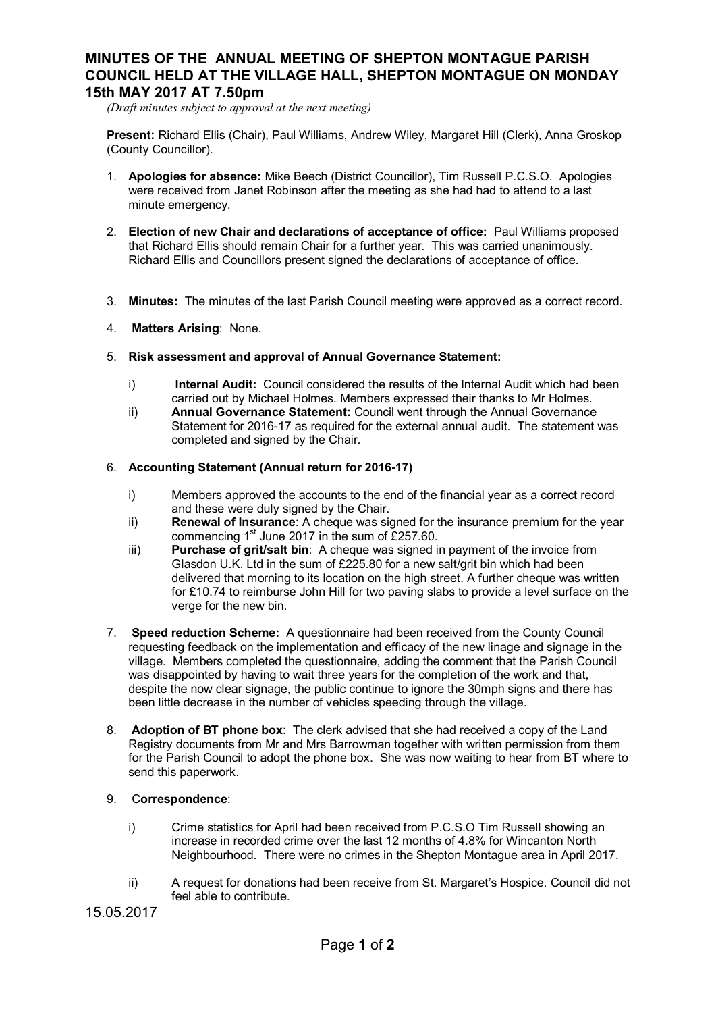## **MINUTES OF THE ANNUAL MEETING OF SHEPTON MONTAGUE PARISH COUNCIL HELD AT THE VILLAGE HALL, SHEPTON MONTAGUE ON MONDAY 15th MAY 2017 AT 7.50pm**

*(Draft minutes subject to approval at the next meeting)*

**Present:** Richard Ellis (Chair), Paul Williams, Andrew Wiley, Margaret Hill (Clerk), Anna Groskop (County Councillor).

- 1. **Apologies for absence:** Mike Beech (District Councillor), Tim Russell P.C.S.O. Apologies were received from Janet Robinson after the meeting as she had had to attend to a last minute emergency.
- 2. **Election of new Chair and declarations of acceptance of office:** Paul Williams proposed that Richard Ellis should remain Chair for a further year. This was carried unanimously. Richard Ellis and Councillors present signed the declarations of acceptance of office.
- 3. **Minutes:** The minutes of the last Parish Council meeting were approved as a correct record.
- 4. **Matters Arising**: None.
- 5. **Risk assessment and approval of Annual Governance Statement:**
	- i) **Internal Audit:** Council considered the results of the Internal Audit which had been carried out by Michael Holmes. Members expressed their thanks to Mr Holmes.
	- ii) **Annual Governance Statement:** Council went through the Annual Governance Statement for 2016-17 as required for the external annual audit. The statement was completed and signed by the Chair.

## 6. **Accounting Statement (Annual return for 2016-17)**

- i) Members approved the accounts to the end of the financial year as a correct record and these were duly signed by the Chair.
- ii) **Renewal of Insurance**: A cheque was signed for the insurance premium for the year commencing  $1<sup>st</sup>$  June 2017 in the sum of £257.60.
- iii) **Purchase of grit/salt bin**: A cheque was signed in payment of the invoice from Glasdon U.K. Ltd in the sum of £225.80 for a new salt/grit bin which had been delivered that morning to its location on the high street. A further cheque was written for £10.74 to reimburse John Hill for two paving slabs to provide a level surface on the verge for the new bin.
- 7. **Speed reduction Scheme:** A questionnaire had been received from the County Council requesting feedback on the implementation and efficacy of the new linage and signage in the village. Members completed the questionnaire, adding the comment that the Parish Council was disappointed by having to wait three years for the completion of the work and that, despite the now clear signage, the public continue to ignore the 30mph signs and there has been little decrease in the number of vehicles speeding through the village.
- 8. **Adoption of BT phone box**: The clerk advised that she had received a copy of the Land Registry documents from Mr and Mrs Barrowman together with written permission from them for the Parish Council to adopt the phone box. She was now waiting to hear from BT where to send this paperwork.
- 9. C**orrespondence**:
	- i) Crime statistics for April had been received from P.C.S.O Tim Russell showing an increase in recorded crime over the last 12 months of 4.8% for Wincanton North Neighbourhood. There were no crimes in the Shepton Montague area in April 2017.
	- ii) A request for donations had been receive from St. Margaret's Hospice. Council did not feel able to contribute.

15.05.2017